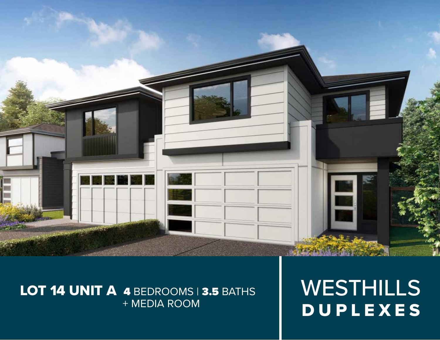

# LOT 14 UNIT A 4 BEDROOMS 3.5 BATHS + MEDIA ROOM

WESTHILLS DUPLEXES